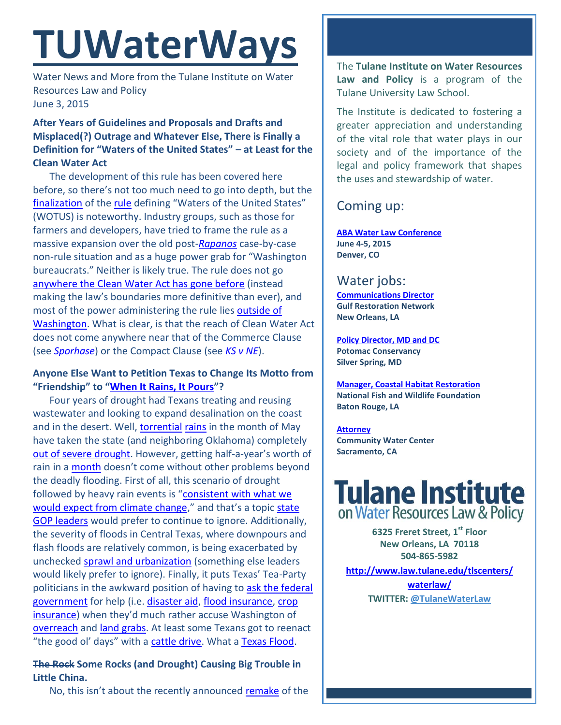# **TUWaterWays**

Water News and More from the Tulane Institute on Water Resources Law and Policy June 3, 2015

# **After Years of Guidelines and Proposals and Drafts and Misplaced(?) Outrage and Whatever Else, There is Finally a Definition for "Waters of the United States" – at Least for the Clean Water Act**

The development of this rule has been covered here before, so there's not too much need to go into depth, but the [finalization](http://www.nytimes.com/2015/05/28/us/obama-epa-clean-water-pollution.html?_r=0) of the [rule](http://www2.epa.gov/sites/production/files/2015-06/documents/preamble_rule_web_version.pdf) defining "Waters of the United States" (WOTUS) is noteworthy. Industry groups, such as those for farmers and developers, have tried to frame the rule as a massive expansion over the old post-*[Rapanos](https://en.wikipedia.org/wiki/Rapanos_v._United_States)* case-by-case non-rule situation and as a huge power grab for "Washington bureaucrats." Neither is likely true. The rule does not go [anywhere the Clean Water Act has gone before](http://lawprofessors.typepad.com/land_use/2015/05/whats-in-the-new-epa-clean-water-rule.html) (instead making the law's boundaries more definitive than ever), and most of the power administering the rule lie[s outside of](http://lawprofessors.typepad.com/environmental_law/2015/05/the-waters-of-the-united-states-rule-congress-and-washington-bureaucrats.html)  [Washington.](http://lawprofessors.typepad.com/environmental_law/2015/05/the-waters-of-the-united-states-rule-congress-and-washington-bureaucrats.html) What is clear, is that the reach of Clean Water Act does not come anywhere near that of the Commerce Clause (see *[Sporhase](http://www.law.tulane.edu/uploadedFiles/Institutes_and_Centers/Water_Resources_Law_and_Policy/Content/davis-pappas-final.pdf)*) or the Compact Clause (see *[KS v NE](http://www.supremecourt.gov/opinions/14pdf/126orig_olq2.pdf)*).

### **Anyone Else Want to Petition Texas to Change Its Motto from "Friendship" to "[When It Rains, It Pours](https://bernardoberndsen.files.wordpress.com/2013/07/morton-full-size.png)"?**

Four years of drought had Texans treating and reusing wastewater and looking to expand desalination on the coast and in the desert. Well, [torrential](http://www.washingtonpost.com/blogs/wonkblog/wp/2015/05/27/the-insane-amount-of-rain-thats-fallen-in-texas-visualized/) [rains](https://youtu.be/y0dy_K9AAv8) in the month of May have taken the state (and neighboring Oklahoma) completely [out of severe drought.](http://droughtmonitor.unl.edu/data/pdfs/20150526/20150526_usdm.pdf) However, getting half-a-year's worth of rain in a [month](http://www.weather.com/forecast/regional/news/plains-rain-flood-threat-wettest-may-ranking) doesn't come without other problems beyond the deadly flooding. First of all, this scenario of drought followed by heavy rain events is "[consistent with what we](http://kxan.com/2015/05/28/climate-change-a-factor-in-texas-floods-largely-ignored/)  [would expect from climate change](http://kxan.com/2015/05/28/climate-change-a-factor-in-texas-floods-largely-ignored/)," and that's a topic state [GOP leaders](http://www.cnn.com/2015/05/27/politics/ted-cruz-gop-2016-climate-change/) would prefer to continue to ignore. Additionally, the severity of floods in Central Texas, where downpours and flash floods are relatively common, is being exacerbated by unchecked [sprawl and urbanization](http://dotearth.blogs.nytimes.com/2015/05/27/a-researcher-who-modeled-texass-blanco-river-in-2007-probes-for-lessons-after-the-deadly-flash-flood/?partner=rssnyt&emc=rss) (something else leaders would likely prefer to ignore). Finally, it puts Texas' Tea-Party politicians in the awkward position of having to [ask the federal](http://www.dallasnews.com/news/politics/national-politics/20150531-tensions-simmer-between-texas-and-washington.ece)  [government](http://www.dallasnews.com/news/politics/national-politics/20150531-tensions-simmer-between-texas-and-washington.ece) for help (i.e. [disaster aid,](https://www.fema.gov/news-release/2015/05/30/president-declares-disaster-texas) [flood insurance,](http://switchboard.nrdc.org/blogs/rmoore/flood_insurance_in_texas_and_o.html?utm_source=pulsenews&utm_medium=referral&utm_campaign=Feed%3A+switchboard_all+%28Switchboard%3A+Blogs+from+NRDC%27s+Environmental+Experts%29) [crop](http://www.reuters.com/article/2015/05/28/us-usa-storms-cotton-idUSKBN0OD24320150528)  [insurance\)](http://www.reuters.com/article/2015/05/28/us-usa-storms-cotton-idUSKBN0OD24320150528) when they'd much rather accuse Washington of [overreach](http://www.texaslawyer.com/id=1202725953772/Texas-AG-Ramps-Up-Fight-Against-EPAs-Clean-Power-Plan?slreturn=20150503115900) and [land grabs.](https://www.texastribune.org/2014/05/02/red-river-dispute-politics-preceded-understanding/) At least some Texans got to reenact "the good ol' days" with a [cattle drive.](http://www.latimes.com/nation/la-na-texas-cattle-drive-20150531-story.html) What [a Texas Flood.](https://www.youtube.com/watch?v=sWjlUfLqKcc)

# **The Rock Some Rocks (and Drought) Causing Big Trouble in Little China.**

No, this isn't about the recently announced [remake](http://www.ew.com/article/2015/06/01/dwayne-johnson-lead-big-trouble-little-china-remake) of the

The **Tulane Institute on Water Resources Law and Policy** is a program of the Tulane University Law School.

The Institute is dedicated to fostering a greater appreciation and understanding of the vital role that water plays in our society and of the importance of the legal and policy framework that shapes the uses and stewardship of water.

# Coming up:

**[ABA Water Law Conference](http://shop.americanbar.org/ebus/ABAEventsCalendar/EventDetails.aspx?productId=134956288) June 4-5, 2015 Denver, CO**

# Water jobs:

**[Communications Director](http://healthygulf.org/who-we-are/jobs/communications-director) Gulf Restoration Network New Orleans, LA**

**[Policy Director, MD and DC](https://static1.squarespace.com/static/52260563e4b0e56a47d7efa6/t/556dfc08e4b01f283c968028/1433271304422/2015+Policy+Director+-+MDDC.pdf) Potomac Conservancy Silver Spring, MD**

**[Manager, Coastal Habitat Restoration](http://www.nfwf.org/whoweare/careers/Pages/manager-coastal.aspx#.VUorEo5Vikp) National Fish and Wildlife Foundation Baton Rouge, LA**

**[Attorney](http://www.communitywatercenter.org/career_opportunities) Community Water Center Sacramento, CA**



**6325 Freret Street, 1st Floor New Orleans, LA 70118 504-865-5982** 

**[http://www.law.tulane.edu/tlscenters/](http://www.law.tulane.edu/tlscenters/waterlaw/)**

**[waterlaw/](http://www.law.tulane.edu/tlscenters/waterlaw/) TWITTER: [@TulaneWaterLaw](http://www.twitter.com/TulaneWaterLaw)**